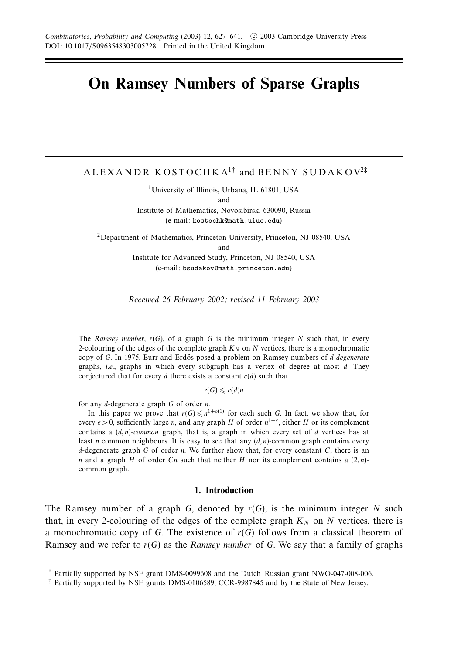# **On Ramsey Numbers of Sparse Graphs**

ALEXANDR KOSTOCHKA1† and BENNY SUDAKOV<sup>2</sup>‡

<sup>1</sup>University of Illinois, Urbana, IL 61801, USA and Institute of Mathematics, Novosibirsk, 630090, Russia (e-mail: kostochk@math.uiuc.edu)

2Department of Mathematics, Princeton University, Princeton, NJ 08540, USA and

Institute for Advanced Study, Princeton, NJ 08540, USA (e-mail: bsudakov@math.princeton.edu)

Received 26 February 2002; revised 11 February 2003

The Ramsey number,  $r(G)$ , of a graph *G* is the minimum integer *N* such that, in every 2-colouring of the edges of the complete graph  $K_N$  on  $N$  vertices, there is a monochromatic copy of *G*. In 1975, Burr and Erdős posed a problem on Ramsey numbers of *d-degenerate* graphs, i.e., graphs in which every subgraph has a vertex of degree at most *d*. They conjectured that for every  $d$  there exists a constant  $c(d)$  such that

 $r(G) \leq c(d)n$ 

for any *d*-degenerate graph *G* of order *n*.

In this paper we prove that  $r(G) \leq n^{1+o(1)}$  for each such *G*. In fact, we show that, for every  $\epsilon > 0$ , sufficiently large *n*, and any graph *H* of order  $n^{1+\epsilon}$ , either *H* or its complement contains a (*d, n*)-common graph, that is, a graph in which every set of *d* vertices has at least *n* common neighbours. It is easy to see that any  $(d, n)$ -common graph contains every *d*-degenerate graph *G* of order *n*. We further show that, for every constant *C*, there is an *n* and a graph *H* of order *Cn* such that neither *H* nor its complement contains a (2*, n*) common graph.

#### **1. Introduction**

The Ramsey number of a graph  $G$ , denoted by  $r(G)$ , is the minimum integer  $N$  such that, in every 2-colouring of the edges of the complete graph  $K_N$  on N vertices, there is a monochromatic copy of *G*. The existence of *r*(*G*) follows from a classical theorem of Ramsey and we refer to  $r(G)$  as the Ramsey number of G. We say that a family of graphs

<sup>†</sup> Partially supported by NSF grant DMS-0099608 and the Dutch–Russian grant NWO-047-008-006.

<sup>‡</sup> Partially supported by NSF grants DMS-0106589, CCR-9987845 and by the State of New Jersey.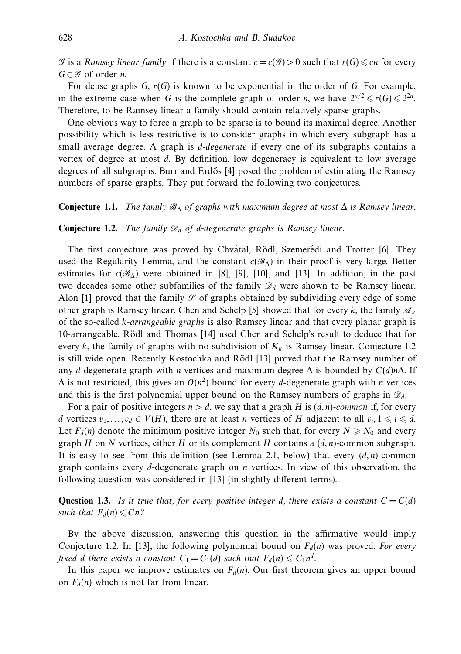G is a Ramsey linear family if there is a constant  $c = c(G) > 0$  such that  $r(G) \leq cn$  for every  $G \in \mathscr{G}$  of order *n*.

For dense graphs *G*, *r*(*G*) is known to be exponential in the order of *G*. For example, in the extreme case when *G* is the complete graph of order *n*, we have  $2^{n/2} \le r(G) \le 2^{2n}$ . Therefore, to be Ramsey linear a family should contain relatively sparse graphs.

One obvious way to force a graph to be sparse is to bound its maximal degree. Another possibility which is less restrictive is to consider graphs in which every subgraph has a small average degree. A graph is *d*-degenerate if every one of its subgraphs contains a vertex of degree at most *d*. By definition, low degeneracy is equivalent to low average degrees of all subgraphs. Burr and Erd˝os [4] posed the problem of estimating the Ramsey numbers of sparse graphs. They put forward the following two conjectures.

### **Conjecture 1.1.** The family  $\mathscr{B}_{\Lambda}$  of graphs with maximum degree at most  $\Delta$  is Ramsey linear.

### **Conjecture 1.2.** The family  $\mathcal{D}_d$  of *d*-degenerate graphs is Ramsey linear.

The first conjecture was proved by Chvátal, Rödl, Szemerédi and Trotter [6]. They used the Regularity Lemma, and the constant  $c(\mathscr{B}_{\Delta})$  in their proof is very large. Better estimates for  $c(\mathcal{B}_\Lambda)$  were obtained in [8], [9], [10], and [13]. In addition, in the past two decades some other subfamilies of the family  $\mathcal{D}_d$  were shown to be Ramsey linear. Alon [1] proved that the family  $\mathcal S$  of graphs obtained by subdividing every edge of some other graph is Ramsey linear. Chen and Schelp [5] showed that for every *k*, the family  $\mathcal{A}_k$ of the so-called *k*-arrangeable graphs is also Ramsey linear and that every planar graph is 10-arrangeable. Rödl and Thomas [14] used Chen and Schelp's result to deduce that for every *k*, the family of graphs with no subdivision of  $K_k$  is Ramsey linear. Conjecture 1.2 is still wide open. Recently Kostochka and Rödl [13] proved that the Ramsey number of any *d*-degenerate graph with *n* vertices and maximum degree ∆ is bounded by *C*(*d*)*n*∆. If  $\Delta$  is not restricted, this gives an  $O(n^2)$  bound for every *d*-degenerate graph with *n* vertices and this is the first polynomial upper bound on the Ramsey numbers of graphs in  $\mathcal{D}_d$ .

For a pair of positive integers  $n > d$ , we say that a graph *H* is  $(d, n)$ -common if, for every *d* vertices  $v_1, \ldots, v_d \in V(H)$ , there are at least *n* vertices of *H* adjacent to all  $v_i, 1 \leq i \leq d$ . Let  $F_d(n)$  denote the minimum positive integer  $N_0$  such that, for every  $N \ge N_0$  and every graph *H* on *N* vertices, either *H* or its complement  $\overline{H}$  contains a  $(d, n)$ -common subgraph. It is easy to see from this definition (see Lemma 2.1, below) that every  $(d, n)$ -common graph contains every *d*-degenerate graph on *n* vertices. In view of this observation, the following question was considered in [13] (in slightly different terms).

**Question 1.3.** Is it true that, for every positive integer *d*, there exists a constant  $C = C(d)$ such that  $F_d(n) \leq Cn$ ?

By the above discussion, answering this question in the affirmative would imply Conjecture 1.2. In [13], the following polynomial bound on  $F_d(n)$  was proved. For every fixed *d* there exists a constant  $C_1 = C_1(d)$  such that  $F_d(n) \leq C_1 n^d$ .

In this paper we improve estimates on  $F_d(n)$ . Our first theorem gives an upper bound on  $F_d(n)$  which is not far from linear.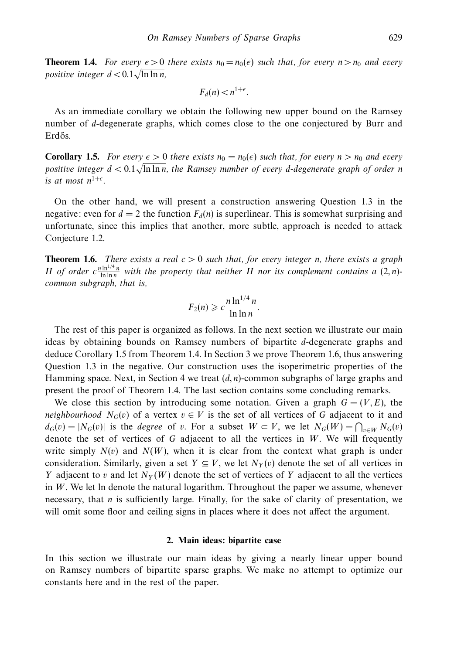**Theorem 1.4.** For every  $\epsilon > 0$  there exists  $n_0 = n_0(\epsilon)$  such that, for every  $n > n_0$  and every positive integer *d <* 0*.*1 ln ln *n*,

$$
F_d(n) < n^{1+\epsilon}.
$$

As an immediate corollary we obtain the following new upper bound on the Ramsey number of *d*-degenerate graphs, which comes close to the one conjectured by Burr and Erdős.

**Corollary 1.5.** For every  $\epsilon > 0$  there exists  $n_0 = n_0(\epsilon)$  such that, for every  $n > n_0$  and every positive integer *d <* 0*.*1 ln ln *n*, the Ramsey number of every *d*-degenerate graph of order *n* is at most  $n^{1+\epsilon}$ .

On the other hand, we will present a construction answering Question 1.3 in the negative: even for  $d = 2$  the function  $F_d(n)$  is superlinear. This is somewhat surprising and unfortunate, since this implies that another, more subtle, approach is needed to attack Conjecture 1.2.

**Theorem 1.6.** There exists a real  $c > 0$  such that, for every integer *n*, there exists a graph *H* of order  $c \frac{n \ln^{1/4} n}{\ln \ln n}$  with the property that neither *H* nor its complement contains a  $(2, n)$ common subgraph, that is,

$$
F_2(n) \geqslant c \frac{n \ln^{1/4} n}{\ln \ln n}.
$$

The rest of this paper is organized as follows. In the next section we illustrate our main ideas by obtaining bounds on Ramsey numbers of bipartite *d*-degenerate graphs and deduce Corollary 1.5 from Theorem 1.4. In Section 3 we prove Theorem 1.6, thus answering Question 1.3 in the negative. Our construction uses the isoperimetric properties of the Hamming space. Next, in Section 4 we treat (*d, n*)-common subgraphs of large graphs and present the proof of Theorem 1.4. The last section contains some concluding remarks.

We close this section by introducing some notation. Given a graph  $G = (V, E)$ , the *neighbourhood*  $N_G(v)$  of a vertex  $v \in V$  is the set of all vertices of G adjacent to it and  $d_G(v) = |N_G(v)|$  is the *degree* of *v*. For a subset  $W \subset V$ , we let  $N_G(W) = \bigcap_{v \in W} N_G(v)$ denote the set of vertices of *G* adjacent to all the vertices in *W*. We will frequently write simply  $N(v)$  and  $N(W)$ , when it is clear from the context what graph is under consideration. Similarly, given a set  $Y \subseteq V$ , we let  $N_Y(v)$  denote the set of all vertices in *Y* adjacent to *v* and let  $N_Y(W)$  denote the set of vertices of *Y* adjacent to all the vertices in *W*. We let ln denote the natural logarithm. Throughout the paper we assume, whenever necessary, that *n* is sufficiently large. Finally, for the sake of clarity of presentation, we will omit some floor and ceiling signs in places where it does not affect the argument.

#### **2. Main ideas: bipartite case**

In this section we illustrate our main ideas by giving a nearly linear upper bound on Ramsey numbers of bipartite sparse graphs. We make no attempt to optimize our constants here and in the rest of the paper.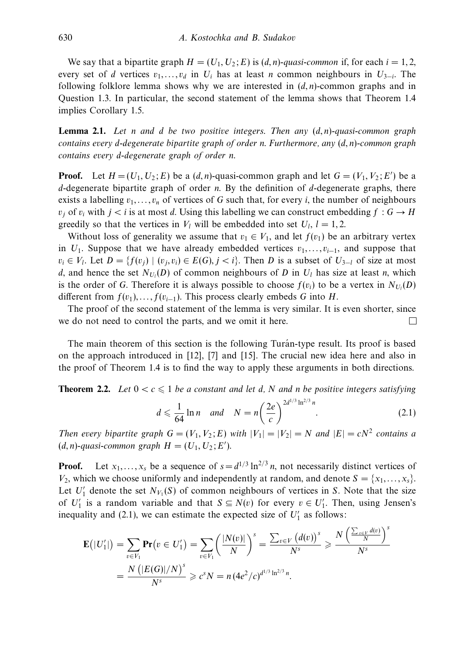We say that a bipartite graph  $H = (U_1, U_2; E)$  is  $(d, n)$ -quasi-common if, for each  $i = 1, 2$ , every set of *d* vertices  $v_1, \ldots, v_d$  in  $U_i$  has at least *n* common neighbours in  $U_{3-i}$ . The following folklore lemma shows why we are interested in (*d, n*)-common graphs and in Question 1.3. In particular, the second statement of the lemma shows that Theorem 1.4 implies Corollary 1.5.

**Lemma 2.1.** Let *n* and *d* be two positive integers. Then any (*d, n*)-quasi-common graph contains every *d*-degenerate bipartite graph of order *n*. Furthermore, any (*d, n*)-common graph contains every *d*-degenerate graph of order *n*.

**Proof.** Let  $H = (U_1, U_2; E)$  be a  $(d, n)$ -quasi-common graph and let  $G = (V_1, V_2; E')$  be a *d*-degenerate bipartite graph of order *n*. By the definition of *d*-degenerate graphs, there exists a labelling  $v_1, \ldots, v_n$  of vertices of *G* such that, for every *i*, the number of neighbours  $v_j$  of  $v_i$  with  $j < i$  is at most *d*. Using this labelling we can construct embedding  $f : G \to H$ greedily so that the vertices in  $V_l$  will be embedded into set  $U_l$ ,  $l = 1, 2$ .

Without loss of generality we assume that  $v_1 \in V_1$ , and let  $f(v_1)$  be an arbitrary vertex in  $U_1$ . Suppose that we have already embedded vertices  $v_1, \ldots, v_{i-1}$ , and suppose that  $v_i \in V_i$ . Let  $D = \{f(v_i) \mid (v_i, v_i) \in E(G), j < i\}$ . Then *D* is a subset of  $U_{3-l}$  of size at most *d*, and hence the set  $N_{U_l}(D)$  of common neighbours of *D* in  $U_l$  has size at least *n*, which is the order of *G*. Therefore it is always possible to choose  $f(v_i)$  to be a vertex in  $N_{U_i}(D)$ different from  $f(v_1), \ldots, f(v_{i-1})$ . This process clearly embeds *G* into *H*.

The proof of the second statement of the lemma is very similar. It is even shorter, since we do not need to control the parts, and we omit it here. П

The main theorem of this section is the following Turan-type result. Its proof is based on the approach introduced in [12], [7] and [15]. The crucial new idea here and also in the proof of Theorem 1.4 is to find the way to apply these arguments in both directions.

**Theorem 2.2.** Let  $0 < c \leq 1$  be a constant and let d, N and n be positive integers satisfying

$$
d \leq \frac{1}{64} \ln n \quad \text{and} \quad N = n \left( \frac{2e}{c} \right)^{2d^{1/3} \ln^{2/3} n}.
$$
 (2.1)

 $\sqrt{2}$ 

Then every bipartite graph  $G = (V_1, V_2; E)$  with  $|V_1| = |V_2| = N$  and  $|E| = cN^2$  contains a  $(d, n)$ -quasi-common graph  $H = (U_1, U_2; E').$ 

**Proof.** Let  $x_1, \ldots, x_s$  be a sequence of  $s = d^{1/3} \ln^{2/3} n$ , not necessarily distinct vertices of  $V_2$ , which we choose uniformly and independently at random, and denote  $S = \{x_1, \ldots, x_s\}$ . Let  $U'_1$  denote the set  $N_{V_1}(S)$  of common neighbours of vertices in *S*. Note that the size of *U*<sup> $1$ </sup> is a random variable and that  $S \subseteq N(v)$  for every  $v \in U_1'$ . Then, using Jensen's inequality and (2.1), we can estimate the expected size of  $U_1'$  as follows:

$$
\mathbf{E}(|U'_1|) = \sum_{v \in V_1} \mathbf{Pr}(v \in U'_1) = \sum_{v \in V_1} \left(\frac{|N(v)|}{N}\right)^s = \frac{\sum_{v \in V} (d(v))^s}{N^s} \ge \frac{N\left(\frac{\sum_{v \in V} d(v)}{N}\right)^s}{N^s}
$$
  
=  $\frac{N(|E(G)|/N)^s}{N^s} \ge c^s N = n (4e^2/c)^{d^{1/3} \ln^{2/3} n}.$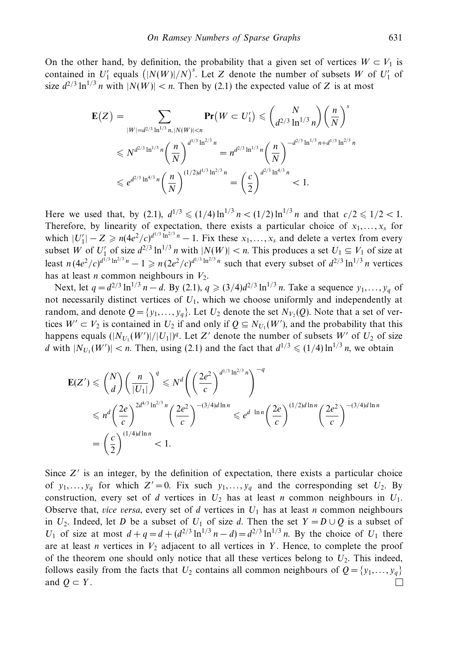On the other hand, by definition, the probability that a given set of vertices  $W \subset V_1$  is contained in  $U'_1$  equals  $(|N(W)|/N)^s$ . Let *Z* denote the number of subsets *W* of  $U'_1$  of size  $d^{2/3} \ln^{1/3} n$  with  $|N(W)| < n$ . Then by (2.1) the expected value of *Z* is at most

$$
\mathbf{E}(Z) = \sum_{|W|=d^{2/3} \ln^{1/3} n, |N(W)| < n} \mathbf{Pr}(W \subset U_1') \leq \binom{N}{d^{2/3} \ln^{1/3} n} \left(\frac{n}{N}\right)^s
$$
  

$$
\leq N^{d^{2/3} \ln^{1/3} n} \left(\frac{n}{N}\right)^{d^{1/3} \ln^{2/3} n} = n^{d^{2/3} \ln^{1/3} n} \left(\frac{n}{N}\right)^{-d^{2/3} \ln^{1/3} n + d^{1/3} \ln^{2/3} n}
$$
  

$$
\leq e^{d^{2/3} \ln^{4/3} n} \left(\frac{n}{N}\right)^{(1/2)d^{1/3} \ln^{2/3} n} = \left(\frac{c}{2}\right)^{d^{2/3} \ln^{4/3} n} < 1.
$$

Here we used that, by (2.1),  $d^{1/3} \leq (1/4) \ln^{1/3} n < (1/2) \ln^{1/3} n$  and that  $c/2 \leq 1/2 < 1$ . Therefore, by linearity of expectation, there exists a particular choice of  $x_1, \ldots, x_s$  for which  $|U_1'| - Z \ge n(4e^2/c)^{d^{1/3} \ln^{2/3} n} - 1$ . Fix these  $x_1, \ldots, x_s$  and delete a vertex from every subset *W* of  $U'_1$  of size  $d^{2/3} \ln^{1/3} n$  with  $|N(W)| < n$ . This produces a set  $U_1 \subseteq V_1$  of size at least  $n (4e^2/c)^{d^{1/3} \ln^{2/3} n} - 1 \ge n (2e^2/c)^{d^{1/3} \ln^{2/3} n}$  such that every subset of  $d^{2/3} \ln^{1/3} n$  vertices has at least *n* common neighbours in  $V_2$ .

Next, let  $q = d^{2/3} \ln^{1/3} n - d$ . By (2.1),  $q \geq (3/4)d^{2/3} \ln^{1/3} n$ . Take a sequence  $y_1, \ldots, y_q$  of not necessarily distinct vertices of *U*1, which we choose uniformly and independently at random, and denote  $Q = \{y_1, \ldots, y_q\}$ . Let  $U_2$  denote the set  $N_{V_2}(Q)$ . Note that a set of vertices  $W' \subset V_2$  is contained in  $U_2$  if and only if  $Q \subseteq N_{U_1}(W')$ , and the probability that this happens equals  $(|N_{U_1}(W')|/|U_1|)^q$ . Let *Z'* denote the number of subsets *W'* of  $U_2$  of size *d* with  $|N_{U_1}(W')| < n$ . Then, using (2.1) and the fact that  $d^{1/3} \leq (1/4) \ln^{1/3} n$ , we obtain

$$
\mathbf{E}(Z') \leq {N \choose d} \left(\frac{n}{|U_1|}\right)^q \leq N^d \left(\left(\frac{2e^2}{c}\right)^{d^{1/3} \ln^{2/3} n}\right)^{-q}
$$
  

$$
\leq n^d \left(\frac{2e}{c}\right)^{2d^{4/3} \ln^{2/3} n} \left(\frac{2e^2}{c}\right)^{-(3/4)d \ln n} \leq e^{d \ln n} \left(\frac{2e}{c}\right)^{(1/2)d \ln n} \left(\frac{2e^2}{c}\right)^{-(3/4)d \ln n}
$$
  

$$
= \left(\frac{c}{2}\right)^{(1/4)d \ln n} < 1.
$$

Since *Z'* is an integer, by the definition of expectation, there exists a particular choice of  $y_1, \ldots, y_q$  for which  $Z' = 0$ . Fix such  $y_1, \ldots, y_q$  and the corresponding set  $U_2$ . By construction, every set of *d* vertices in  $U_2$  has at least *n* common neighbours in  $U_1$ . Observe that, *vice versa*, every set of *d* vertices in  $U_1$  has at least *n* common neighbours in  $U_2$ . Indeed, let *D* be a subset of  $U_1$  of size *d*. Then the set  $Y = D \cup Q$  is a subset of *U*<sub>1</sub> of size at most  $d + q = d + (d^{2/3} \ln^{1/3} n - d) = d^{2/3} \ln^{1/3} n$ . By the choice of *U*<sub>1</sub> there are at least *n* vertices in  $V_2$  adjacent to all vertices in Y. Hence, to complete the proof of the theorem one should only notice that all these vertices belong to  $U_2$ . This indeed, follows easily from the facts that  $U_2$  contains all common neighbours of  $Q = \{y_1, \ldots, y_q\}$ and  $Q \subset Y$ .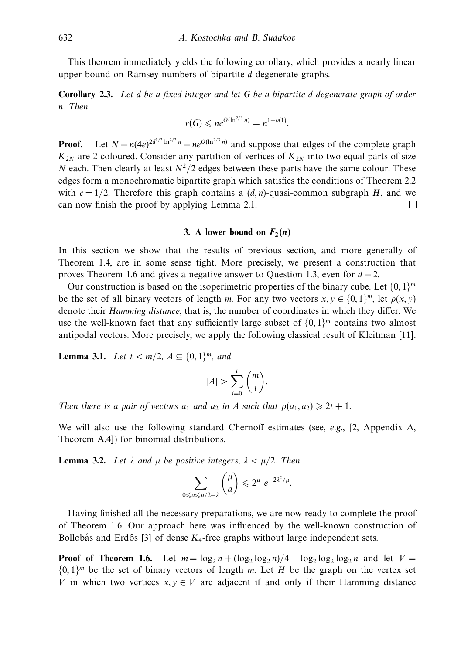This theorem immediately yields the following corollary, which provides a nearly linear upper bound on Ramsey numbers of bipartite *d*-degenerate graphs.

**Corollary 2.3.** Let *d* be a fixed integer and let *G* be a bipartite *d*-degenerate graph of order *n*. Then

$$
r(G) \leqslant n e^{O(\ln^{2/3} n)} = n^{1+o(1)}.
$$

**Proof.** Let  $N = n(4e)^{2d^{1/3} \ln^{2/3} n} = ne^{O(\ln^{2/3} n)}$  and suppose that edges of the complete graph  $K_{2N}$  are 2-coloured. Consider any partition of vertices of  $K_{2N}$  into two equal parts of size *N* each. Then clearly at least  $N^2/2$  edges between these parts have the same colour. These edges form a monochromatic bipartite graph which satisfies the conditions of Theorem 2.2 with  $c = 1/2$ . Therefore this graph contains a  $(d, n)$ -quasi-common subgraph *H*, and we can now finish the proof by applying Lemma 2.1.  $\Box$ 

## **3.** A lower bound on  $F_2(n)$

In this section we show that the results of previous section, and more generally of Theorem 1.4, are in some sense tight. More precisely, we present a construction that proves Theorem 1.6 and gives a negative answer to Question 1.3, even for  $d = 2$ .

Our construction is based on the isoperimetric properties of the binary cube. Let  $\{0, 1\}^m$ be the set of all binary vectors of length *m*. For any two vectors  $x, y \in \{0, 1\}^m$ , let  $\rho(x, y)$ denote their Hamming distance, that is, the number of coordinates in which they differ. We use the well-known fact that any sufficiently large subset of  $\{0, 1\}^m$  contains two almost antipodal vectors. More precisely, we apply the following classical result of Kleitman [11].

**Lemma 3.1.** Let  $t < m/2$ ,  $A \subseteq \{0, 1\}^m$ , and

$$
|A| > \sum_{i=0}^t \binom{m}{i}.
$$

Then there is a pair of vectors  $a_1$  and  $a_2$  in *A* such that  $\rho(a_1, a_2) \geq 2t + 1$ .

We will also use the following standard Chernoff estimates (see, e.g., [2, Appendix A, Theorem A.4]) for binomial distributions.

**Lemma 3.2.** Let  $λ$  and  $μ$  be positive integers,  $λ < μ/2$ . Then

$$
\sum_{0\leqslant a\leqslant\mu/2-\lambda}\binom{\mu}{a}\leqslant 2^{\mu}e^{-2\lambda^2/\mu}.
$$

Having finished all the necessary preparations, we are now ready to complete the proof of Theorem 1.6. Our approach here was influenced by the well-known construction of Bollobás and Erdős [3] of dense  $K_4$ -free graphs without large independent sets.

**Proof of Theorem 1.6.** Let  $m = \log_2 n + (\log_2 \log_2 n)/4 - \log_2 \log_2 \log_2 n$  and let  $V =$  $\{0,1\}^m$  be the set of binary vectors of length *m*. Let *H* be the graph on the vertex set *V* in which two vertices  $x, y \in V$  are adjacent if and only if their Hamming distance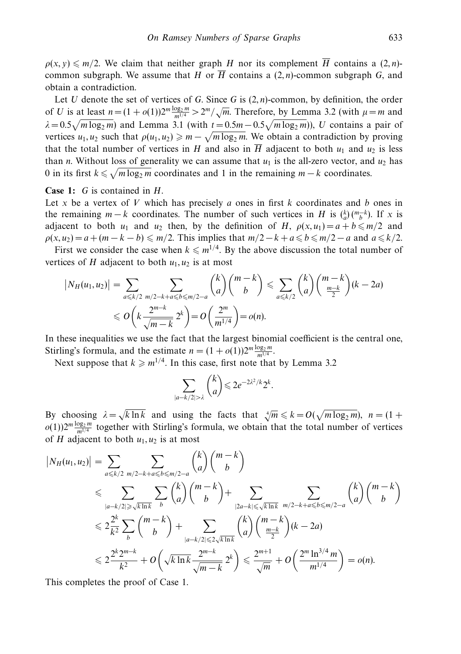$\rho(x, y) \leq m/2$ . We claim that neither graph *H* nor its complement  $\overline{H}$  contains a (2*, n*)common subgraph. We assume that *H* or  $\overline{H}$  contains a (2, *n*)-common subgraph *G*, and obtain a contradiction.

Let *U* denote the set of vertices of *G*. Since *G* is (2*, n*)-common, by definition, the order of *U* is at least  $n = (1 + o(1))2^m \frac{\log_2 m}{m^{1/4}} > 2^m / \sqrt{m}$ . Therefore, by Lemma 3.2 (with  $\mu = m$  and  $\lambda = 0.5\sqrt{m \log_2 m}$  and Lemma 3.1 (with  $t = 0.5m - 0.5\sqrt{m \log_2 m}$ )), *U* contains a pair of vertices  $u_1, u_2$  such that  $\rho(u_1, u_2) \geq m - \sqrt{m \log_2 m}$ . We obtain a contradiction by proving that the total number of vertices in *H* and also in  $\overline{H}$  adjacent to both  $u_1$  and  $u_2$  is less than *n*. Without loss of generality we can assume that  $u_1$  is the all-zero vector, and  $u_2$  has 0 in its first  $k \le \sqrt{m \log_2 m}$  coordinates and 1 in the remaining  $m - k$  coordinates.

**Case 1:** *G* is contained in *H*.

Let *x* be a vertex of *V* which has precisely *a* ones in first *k* coordinates and *b* ones in the remaining  $m - k$  coordinates. The number of such vertices in *H* is  $\binom{k}{a} \binom{m-k}{b}$ . If *x* is adjacent to both  $u_1$  and  $u_2$  then, by the definition of *H*,  $\rho(x, u_1) = a + b \le m/2$  and  $\rho(x, u_2) = a + (m - k - b) \leq m/2$ . This implies that  $m/2 - k + a \leq b \leq m/2 - a$  and  $a \leq k/2$ .

First we consider the case when  $k \le m^{1/4}$ . By the above discussion the total number of vertices of *H* adjacent to both  $u_1, u_2$  is at most

$$
\left|N_H(u_1, u_2)\right| = \sum_{a \le k/2} \sum_{\substack{m/2 - k + a \le b \le m/2 - a}} \binom{k}{a} \binom{m - k}{b} \le \sum_{a \le k/2} \binom{k}{a} \binom{m - k}{\frac{m - k}{2}} (k - 2a)
$$
  
 
$$
\le O\left(k \frac{2^{m - k}}{\sqrt{m - k}} 2^k\right) = O\left(\frac{2^m}{m^{1/4}}\right) = o(n).
$$

In these inequalities we use the fact that the largest binomial coefficient is the central one, Stirling's formula, and the estimate  $n = (1 + o(1))2^m \frac{\log_2 m}{m^{1/4}}$ .

Next suppose that  $k \geq m^{1/4}$ . In this case, first note that by Lemma 3.2

$$
\sum_{|a-k/2|>\lambda} {k \choose a} \leqslant 2e^{-2\lambda^2/k} 2^k
$$

*.*

By choosing  $\lambda = \sqrt{k \ln k}$  and using the facts that  $\sqrt[4]{m} \le k = O(\sqrt{m \log_2 m})$ ,  $n = (1 + \frac{1}{2})$  $o(1)$ ) $2^m \frac{\log_2 m}{m^{1/4}}$  together with Stirling's formula, we obtain that the total number of vertices of *H* adjacent to both  $u_1, u_2$  is at most

$$
|N_H(u_1, u_2)| = \sum_{a \le k/2} \sum_{m/2 - k + a \le b \le m/2 - a} {k \choose a} {m - k \choose b}
$$
  
\n
$$
\le \sum_{|a - k/2| \ge \sqrt{k \ln k}} \sum_{b} {k \choose a} {m - k \choose b} + \sum_{|2a - k| \le \sqrt{k \ln k}} \sum_{m/2 - k + a \le b \le m/2 - a} {k \choose a} {m - k \choose b}
$$
  
\n
$$
\le 2 \frac{2^k}{k^2} \sum_{b} {m - k \choose b} + \sum_{|a - k/2| \le 2\sqrt{k \ln k}} {k \choose a} {m - k \choose \frac{m - k}{2}} (k - 2a)
$$
  
\n
$$
\le 2 \frac{2^k 2^{m - k}}{k^2} + O\left(\sqrt{k \ln k} \frac{2^{m - k}}{\sqrt{m - k}} 2^k\right) \le \frac{2^{m + 1}}{\sqrt{m}} + O\left(\frac{2^m \ln^{3/4} m}{m^{1/4}}\right) = o(n).
$$

This completes the proof of Case 1.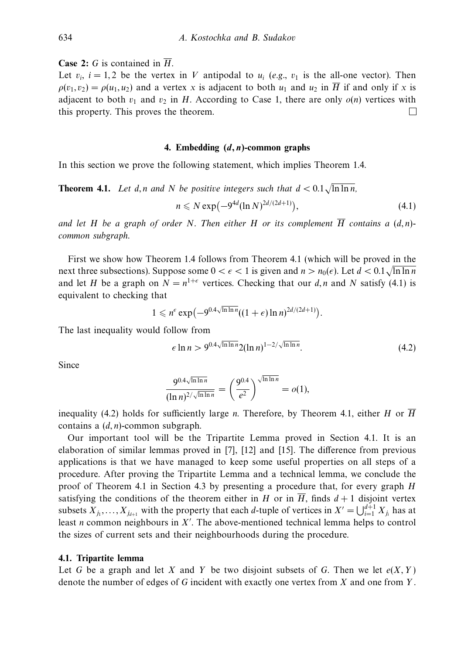**Case 2:** *G* is contained in  $\overline{H}$ .

Let  $v_i$ ,  $i = 1,2$  be the vertex in *V* antipodal to  $u_i$  (e.g.,  $v_1$  is the all-one vector). Then  $\rho(v_1, v_2) = \rho(u_1, u_2)$  and a vertex *x* is adjacent to both  $u_1$  and  $u_2$  in  $\overline{H}$  if and only if *x* is adjacent to both  $v_1$  and  $v_2$  in *H*. According to Case 1, there are only  $o(n)$  vertices with this property. This proves the theorem. □

#### **4. Embedding (***d,n***)-common graphs**

In this section we prove the following statement, which implies Theorem 1.4.

**Theorem 4.1.** Let  $d, n$  and  $N$  be positive integers such that  $d < 0.1\sqrt{\ln \ln n}$ ,

$$
n \leq N \exp\left(-9^{4d} (\ln N)^{2d/(2d+1)}\right),\tag{4.1}
$$

and let *H* be a graph of order *N*. Then either *H* or its complement  $\overline{H}$  contains a  $(d, n)$ common subgraph.

First we show how Theorem 1.4 follows from Theorem 4.1 (which will be proved in the  $\frac{1}{2}$ next three subsections). Suppose some  $0 < \epsilon < 1$  is given and  $n > n_0(\epsilon)$ . Let  $d < 0.1 \sqrt{\ln \ln n}$ and let *H* be a graph on  $N = n^{1+\epsilon}$  vertices. Checking that our *d, n* and *N* satisfy (4.1) is equivalent to checking that

$$
1 \leqslant n^{\epsilon} \exp\left(-9^{0.4\sqrt{\ln\ln n}}((1+\epsilon)\ln n)^{2d/(2d+1)}\right).
$$

The last inequality would follow from

$$
\epsilon \ln n > 9^{0.4\sqrt{\ln \ln n}} 2(\ln n)^{1 - 2/\sqrt{\ln \ln n}}.\tag{4.2}
$$

Since

$$
\frac{9^{0.4\sqrt{\ln\ln n}}}{(\ln n)^{2/\sqrt{\ln\ln n}}} = \left(\frac{9^{0.4}}{e^2}\right)^{\sqrt{\ln\ln n}} = o(1),
$$

inequality (4.2) holds for sufficiently large *n*. Therefore, by Theorem 4.1, either *H* or  $\overline{H}$ contains a (*d, n*)-common subgraph.

Our important tool will be the Tripartite Lemma proved in Section 4.1. It is an elaboration of similar lemmas proved in [7], [12] and [15]. The difference from previous applications is that we have managed to keep some useful properties on all steps of a procedure. After proving the Tripartite Lemma and a technical lemma, we conclude the proof of Theorem 4.1 in Section 4.3 by presenting a procedure that, for every graph *H* satisfying the conditions of the theorem either in *H* or in  $\overline{H}$ , finds  $d+1$  disjoint vertex subsets  $X_{j_1}, \ldots, X_{j_{d+1}}$  with the property that each *d*-tuple of vertices in  $X' = \bigcup_{i=1}^{d+1} X_{j_i}$  has at least *n* common neighbours in *X* . The above-mentioned technical lemma helps to control the sizes of current sets and their neighbourhoods during the procedure.

#### **4.1. Tripartite lemma**

Let *G* be a graph and let *X* and *Y* be two disjoint subsets of *G*. Then we let  $e(X, Y)$ denote the number of edges of *G* incident with exactly one vertex from *X* and one from *Y* .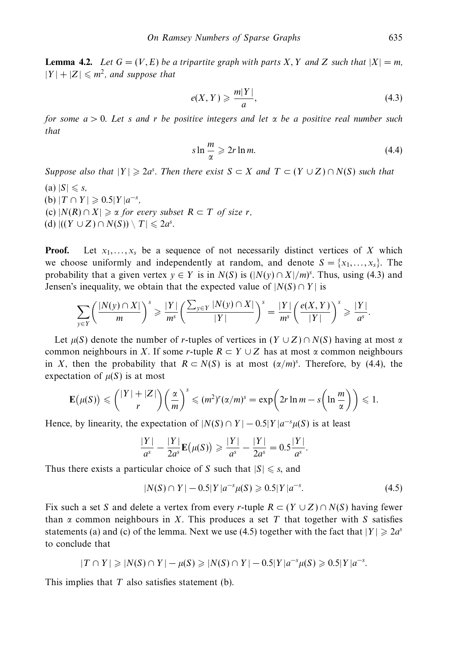**Lemma 4.2.** Let  $G = (V, E)$  be a tripartite graph with parts X, Y and Z such that  $|X| = m$ ,  $|Y| + |Z| \le m^2$ , and suppose that

$$
e(X,Y) \geqslant \frac{m|Y|}{a},\tag{4.3}
$$

for some *a >* 0. Let *s* and *r* be positive integers and let *α* be a positive real number such that

$$
s \ln \frac{m}{\alpha} \geqslant 2r \ln m. \tag{4.4}
$$

Suppose also that  $|Y| \ge 2a^s$ . Then there exist  $S \subset X$  and  $T \subset (Y \cup Z) \cap N(S)$  such that

 $(a) |S| \le s$ ,  $(b) |T \cap Y| \geqslant 0.5|Y|a^{-s},$  $\rho(\mathbf{c}) |N(R) \cap X| \geqslant \alpha$  for every subset  $R \subset T$  of size *r*,  $(d)$   $|((Y \cup Z) \cap N(S)) \setminus T| \leq 2a^s$ .

**Proof.** Let  $x_1, \ldots, x_s$  be a sequence of not necessarily distinct vertices of X which we choose uniformly and independently at random, and denote  $S = \{x_1, \ldots, x_s\}$ . The probability that a given vertex  $y \in Y$  is in  $N(S)$  is  $(|N(y) \cap X|/m)^s$ . Thus, using (4.3) and Jensen's inequality, we obtain that the expected value of  $|N(S) \cap Y|$  is

$$
\sum_{y\in Y}\left(\frac{|N(y)\cap X|}{m}\right)^s\geqslant \frac{|Y|}{m^s}\left(\frac{\sum_{y\in Y}|N(y)\cap X|}{|Y|}\right)^s=\frac{|Y|}{m^s}\left(\frac{e(X,Y)}{|Y|}\right)^s\geqslant \frac{|Y|}{a^s}.
$$

Let  $\mu(S)$  denote the number of *r*-tuples of vertices in  $(Y \cup Z) \cap N(S)$  having at most  $\alpha$ common neighbours in *X*. If some *r*-tuple  $R \subset Y \cup Z$  has at most  $\alpha$  common neighbours in *X*, then the probability that  $R \subset N(S)$  is at most  $(\alpha/m)^s$ . Therefore, by (4.4), the expectation of  $\mu(S)$  is at most

$$
\mathbf{E}(\mu(S)) \leqslant {\binom{|Y|+|Z|}{r}} {\left(\frac{\alpha}{m}\right)^s} \leqslant (m^2)^r (\alpha/m)^s = \exp\left(2r\ln m - s\left(\ln\frac{m}{\alpha}\right)\right) \leqslant 1.
$$

Hence, by linearity, the expectation of  $|N(S) \cap Y| - 0.5|Y|a^{-s}\mu(S)$  is at least

$$
\frac{|Y|}{a^s} - \frac{|Y|}{2a^s} \mathbf{E}(\mu(S)) \ge \frac{|Y|}{a^s} - \frac{|Y|}{2a^s} = 0.5 \frac{|Y|}{a^s}.
$$

Thus there exists a particular choice of *S* such that  $|S| \le s$ , and

$$
|N(S) \cap Y| - 0.5|Y|a^{-s}\mu(S) \geqslant 0.5|Y|a^{-s}.\tag{4.5}
$$

Fix such a set *S* and delete a vertex from every *r*-tuple  $R \subset (Y \cup Z) \cap N(S)$  having fewer than *α* common neighbours in *X*. This produces a set *T* that together with *S* satisfies statements (a) and (c) of the lemma. Next we use (4.5) together with the fact that  $|Y| \ge 2a^s$ to conclude that

$$
|T \cap Y| \geq |N(S) \cap Y| - \mu(S) \geq |N(S) \cap Y| - 0.5|Y|a^{-s}\mu(S) \geq 0.5|Y|a^{-s}.
$$

This implies that *T* also satisfies statement (b).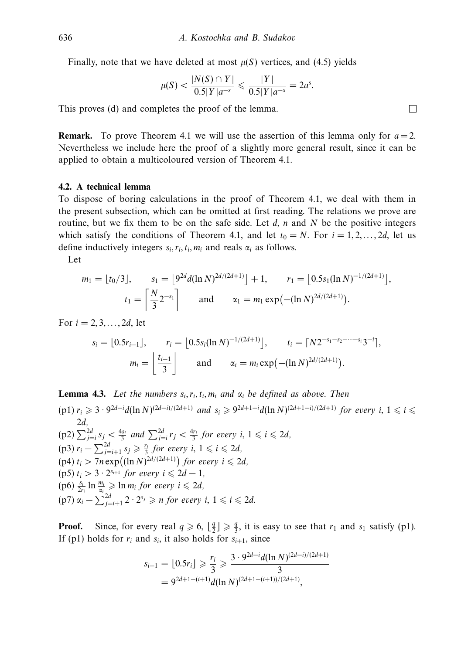Finally, note that we have deleted at most  $\mu(S)$  vertices, and (4.5) yields

$$
\mu(S) < \frac{|N(S) \cap Y|}{0.5|Y|a^{-s}} \leq \frac{|Y|}{0.5|Y|a^{-s}} = 2a^s.
$$

This proves (d) and completes the proof of the lemma.

**Remark.** To prove Theorem 4.1 we will use the assertion of this lemma only for  $a = 2$ . Nevertheless we include here the proof of a slightly more general result, since it can be applied to obtain a multicoloured version of Theorem 4.1.

# **4.2. A technical lemma**

To dispose of boring calculations in the proof of Theorem 4.1, we deal with them in the present subsection, which can be omitted at first reading. The relations we prove are routine, but we fix them to be on the safe side. Let *d*, *n* and *N* be the positive integers which satisfy the conditions of Theorem 4.1, and let  $t_0 = N$ . For  $i = 1, 2, \ldots, 2d$ , let us define inductively integers  $s_i, r_i, t_i, m_i$  and reals  $\alpha_i$  as follows.

Let

$$
m_1 = \lfloor t_0/3 \rfloor, \qquad s_1 = \lfloor 9^{2d} d(\ln N)^{2d/(2d+1)} \rfloor + 1, \qquad r_1 = \lfloor 0.5s_1 (\ln N)^{-1/(2d+1)} \rfloor,
$$

$$
t_1 = \left\lceil \frac{N}{3} 2^{-s_1} \right\rceil \qquad \text{and} \qquad \alpha_1 = m_1 \exp\left(-(\ln N)^{2d/(2d+1)}\right).
$$

For  $i = 2, 3, ..., 2d$ , let

$$
s_i = \lfloor 0.5r_{i-1} \rfloor, \qquad r_i = \lfloor 0.5s_i(\ln N)^{-1/(2d+1)} \rfloor, \qquad t_i = \lceil N2^{-s_1 - s_2 - \cdots - s_i}3^{-i} \rceil,
$$

$$
m_i = \left\lfloor \frac{t_{i-1}}{3} \right\rfloor \qquad \text{and} \qquad \alpha_i = m_i \exp\left(-(\ln N)^{2d/(2d+1)}\right).
$$

**Lemma 4.3.** Let the numbers 
$$
s_i, r_i, t_i, m_i
$$
 and  $\alpha_i$  be defined as above. Then  
\n(p1)  $r_i \ge 3 \cdot 9^{2d-i} d(\ln N)^{(2d-i)/(2d+1)}$  and  $s_i \ge 9^{2d+1-i} d(\ln N)^{(2d+1-i)/(2d+1)}$  for every  $i, 1 \le i \le 2d$ ,  
\n(p2)  $\sum_{j=i}^{2d} s_j < \frac{4s_i}{3}$  and  $\sum_{j=i}^{2d} r_j < \frac{4r_i}{3}$  for every  $i, 1 \le i \le 2d$ ,  
\n(p3)  $r_i - \sum_{j=i+1}^{2d} s_j \ge \frac{r_i}{3}$  for every  $i, 1 \le i \le 2d$ ,  
\n(p4)  $t_i > 7n \exp((\ln N)^{2d/(2d+1)})$  for every  $i \le 2d$ ,  
\n(p5)  $t_i > 3 \cdot 2^{s_{i+1}}$  for every  $i \le 2d - 1$ ,  
\n(p6)  $\frac{s_i}{2r_i} \ln \frac{m_i}{\alpha_i} \ge \ln m_i$  for every  $i \le 2d$ ,  
\n(p7)  $\alpha_i - \sum_{j=i+1}^{2d} 2 \cdot 2^{s_j} \ge n$  for every  $i, 1 \le i \le 2d$ .

**Proof.** Since, for every real  $q \ge 6$ ,  $\lfloor \frac{q}{2} \rfloor \ge \frac{q}{3}$ , it is easy to see that  $r_1$  and  $s_1$  satisfy (p1). If (p1) holds for  $r_i$  and  $s_i$ , it also holds for  $s_{i+1}$ , since

$$
s_{i+1} = \lfloor 0.5r_i \rfloor \geq \frac{r_i}{3} \geq \frac{3 \cdot 9^{2d-i} d(\ln N)^{(2d-i)/(2d+1)}}{3}
$$
  
=  $9^{2d+1-(i+1)} d(\ln N)^{(2d+1-(i+1))/(2d+1)},$ 

 $\Box$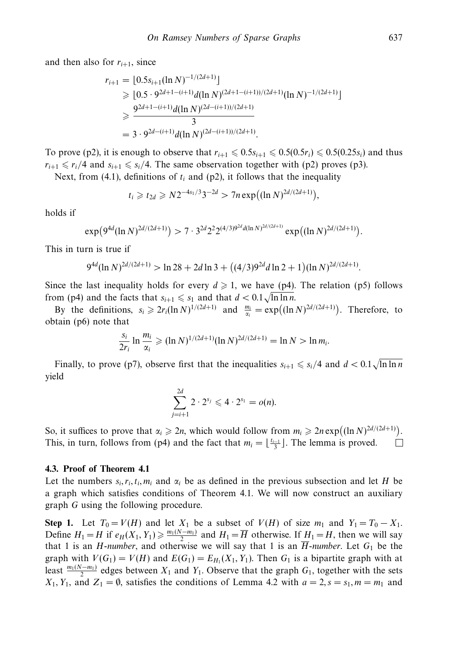and then also for  $r_{i+1}$ , since

$$
r_{i+1} = \lfloor 0.5s_{i+1}(\ln N)^{-1/(2d+1)} \rfloor
$$
  
\n
$$
\geqslant \lfloor 0.5 \cdot 9^{2d+1-(i+1)} d(\ln N)^{(2d+1-(i+1))/(2d+1)} (\ln N)^{-1/(2d+1)} \rfloor
$$
  
\n
$$
\geqslant \frac{9^{2d+1-(i+1)} d(\ln N)^{(2d-(i+1))/(2d+1)}}{3}
$$
  
\n
$$
= 3 \cdot 9^{2d-(i+1)} d(\ln N)^{(2d-(i+1))/(2d+1)}.
$$

To prove (p2), it is enough to observe that  $r_{i+1} \leq 0.5s_{i+1} \leq 0.5(0.5r_i) \leq 0.5(0.25s_i)$  and thus  $r_{i+1} \le r_i/4$  and  $s_{i+1} \le s_i/4$ . The same observation together with (p2) proves (p3).

Next, from (4.1), definitions of  $t_i$  and (p2), it follows that the inequality

$$
t_i \geq t_{2d} \geq N2^{-4s_1/3}3^{-2d} > 7n \exp((\ln N)^{2d/(2d+1)}),
$$

holds if

$$
\exp(9^{4d}(\ln N)^{2d/(2d+1)}) > 7 \cdot 3^{2d} 2^2 2^{(4/3)9^{2d} d(\ln N)^{2d/(2d+1)}} \exp((\ln N)^{2d/(2d+1)}).
$$

This in turn is true if

$$
9^{4d}(\ln N)^{2d/(2d+1)} > \ln 28 + 2d \ln 3 + ((4/3)9^{2d} \ln 2 + 1)(\ln N)^{2d/(2d+1)}.
$$

Since the last inequality holds for every  $d \ge 1$ , we have (p4). The relation (p5) follows from (p4) and the facts that  $s_{i+1} \le s_1$  and that  $d < 0.1 \sqrt{\ln \ln n}$ .

By the definitions,  $s_i \geqslant 2r_i(\ln N)^{1/(2d+1)}$  and  $\frac{m_i}{\alpha_i} = \exp((\ln N)^{2d/(2d+1)})$ . Therefore, to obtain (p6) note that

$$
\frac{S_i}{2r_i} \ln \frac{m_i}{\alpha_i} \geq ( \ln N)^{1/(2d+1)} (\ln N)^{2d/(2d+1)} = \ln N > \ln m_i.
$$

Finally, to prove (p7), observe first that the inequalities  $s_{i+1} \le s_i/4$  and  $d < 0.1\sqrt{\ln \ln n}$ yield

$$
\sum_{j=i+1}^{2d} 2 \cdot 2^{s_j} \leq 4 \cdot 2^{s_1} = o(n).
$$

So, it suffices to prove that  $\alpha_i \geq 2n$ , which would follow from  $m_i \geq 2n \exp((\ln N)^{2d/(2d+1)})$ . This, in turn, follows from (p4) and the fact that  $m_i = \lfloor \frac{t_{i-1}}{3} \rfloor$ . The lemma is proved. □

#### **4.3. Proof of Theorem 4.1**

Let the numbers  $s_i, r_i, t_i, m_i$  and  $\alpha_i$  be as defined in the previous subsection and let *H* be a graph which satisfies conditions of Theorem 4.1. We will now construct an auxiliary graph *G* using the following procedure.

**Step 1.** Let  $T_0 = V(H)$  and let  $X_1$  be a subset of  $V(H)$  of size  $m_1$  and  $Y_1 = T_0 - X_1$ . Define  $H_1 = H$  if  $e_H(X_1, Y_1) \ge \frac{m_1(N-m_1)}{2}$  and  $H_1 = \overline{H}$  otherwise. If  $\underline{H}_1 = H$ , then we will say that 1 is an *H*-number, and otherwise we will say that 1 is an  $\overline{H}$ -number. Let  $G_1$  be the graph with  $V(G_1) = V(H)$  and  $E(G_1) = E_{H_1}(X_1, Y_1)$ . Then  $G_1$  is a bipartite graph with at least  $\frac{m_1(N-m_1)}{2}$  edges between  $X_1$  and  $Y_1$ . Observe that the graph  $G_1$ , together with the sets *X*<sub>1</sub>*, Y*<sub>1</sub>*,* and *Z*<sub>1</sub> =  $\emptyset$ *,* satisfies the conditions of Lemma 4.2 with  $a = 2$ *, s* = *s*<sub>1</sub>*, m* = *m*<sub>1</sub> and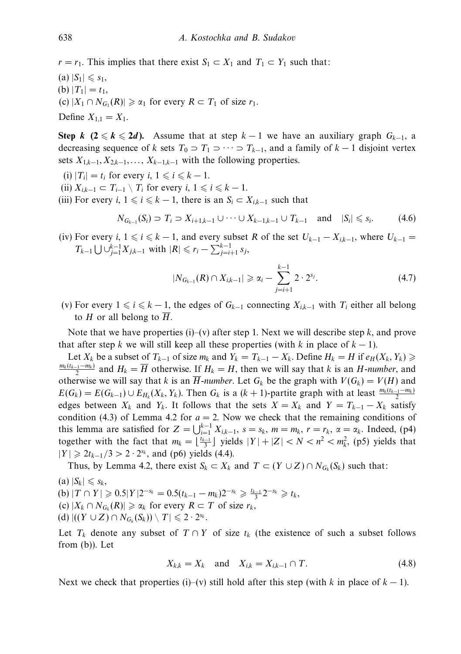$r = r_1$ . This implies that there exist  $S_1 \subset X_1$  and  $T_1 \subset Y_1$  such that:

 $(a) |S_1| \le s_1$ , (b)  $|T_1| = t_1$ ,  $\rho(\mathbf{c}) |X_1 \cap N_{G_1}(R)| \geq \alpha_1$  for every  $R \subset T_1$  of size  $r_1$ .

Define  $X_{1,1} = X_1$ .

**Step** *k* (2  $\leq$  *k*  $\leq$  2*d*). Assume that at step *k* − 1 we have an auxiliary graph  $G_{k-1}$ , a decreasing sequence of *k* sets  $T_0 \supset T_1 \supset \cdots \supset T_{k-1}$ , and a family of  $k-1$  disjoint vertex sets  $X_{1,k-1}, X_{2,k-1}, \ldots, X_{k-1,k-1}$  with the following properties.

- $(i)$   $|T_i| = t_i$  for every  $i, 1 \le i \le k 1$ .
- (ii)  $X_{i,k-1} \subset T_{i-1} \setminus T_i$  for every  $i, 1 \leq i \leq k-1$ .
- (iii) For every *i*,  $1 \le i \le k 1$ , there is an  $S_i \subset X_{i,k-1}$  such that

$$
N_{G_{k-1}}(S_i) \supset T_i \supset X_{i+1,k-1} \cup \cdots \cup X_{k-1,k-1} \cup T_{k-1} \quad \text{and} \quad |S_i| \leq s_i. \tag{4.6}
$$

(iv) For every *i*,  $1 \le i \le k - 1$ , and every subset R of the set  $U_{k-1} - X_{i,k-1}$ , where  $U_{k-1} =$ *T<sub>k−1</sub>* ∪  $\bigcup_{j=1}^{k-1} X_{j,k-1}$  with  $|R| \le r_i - \sum_{j=i+1}^{k-1} s_j$ ,

$$
|N_{G_{k-1}}(R) \cap X_{i,k-1}| \geq \alpha_i - \sum_{j=i+1}^{k-1} 2 \cdot 2^{s_j}.
$$
 (4.7)

(v) For every  $1 \le i \le k-1$ , the edges of  $G_{k-1}$  connecting  $X_{ik-1}$  with  $T_i$  either all belong to *H* or all belong to  $\overline{H}$ .

Note that we have properties (i)–(v) after step 1. Next we will describe step *k*, and prove that after step *k* we will still keep all these properties (with *k* in place of  $k - 1$ ).

Let *X<sub>k</sub>* be a subset of  $T_{k-1}$  of size  $m_k$  and  $Y_k = T_{k-1} - X_k$ . Define  $H_k = H$  if  $e_H(X_k, Y_k) \geq$  $\frac{m_k(t_{k-1}-m_k)}{2}$  and  $H_k = \overline{H}$  otherwise. If  $H_k = H$ , then we will say that *k* is an *H*-number, and otherwise we will say that *k* is an  $\overline{H}$ -number. Let  $G_k$  be the graph with  $V(G_k) = V(H)$  and  $E(G_k) = E(G_{k-1}) \cup E_{H_k}(X_k, Y_k)$ . Then  $G_k$  is a  $(k+1)$ -partite graph with at least  $\frac{m_k(t_{k-1}-m_k)}{2}$ edges between  $X_k$  and  $Y_k$ . It follows that the sets  $X = X_k$  and  $Y = T_{k-1} - X_k$  satisfy condition (4.3) of Lemma 4.2 for  $a = 2$ . Now we check that the remaining conditions of this lemma are satisfied for  $Z = \bigcup_{i=1}^{k-1} X_{i,k-1}$ ,  $s = s_k$ ,  $m = m_k$ ,  $r = r_k$ ,  $\alpha = \alpha_k$ . Indeed, (p4) together with the fact that  $m_k = \lfloor \frac{t_{k-1}}{3} \rfloor$  yields  $|Y| + |Z| < N < n^2 < m_k^2$ , (p5) yields that  $|Y| \ge 2t_{k-1}/3 > 2 \cdot 2^{s_k}$ , and (p6) yields (4.4).

Thus, by Lemma 4.2, there exist  $S_k \subset X_k$  and  $T \subset (Y \cup Z) \cap N_{G_k}(S_k)$  such that:

 $(a) |S_k| \leq s_k$  $f(\mathbf{b}) | T \cap Y | \geqslant 0.5 | Y | 2^{-s_k} = 0.5(t_{k-1} - m_k) 2^{-s_k} \geqslant \frac{t_{k-1}}{3} 2^{-s_k} \geqslant t_k,$  $(c) |X_k \cap N_{G_k}(R)| \ge \alpha_k$  for every  $R \subset T$  of size  $r_k$ ,  $(d)$   $|((Y \cup Z) \cap N_{G_k}(S_k)) \setminus T| \leq 2 \cdot 2^{s_k}$ .

Let  $T_k$  denote any subset of  $T \cap Y$  of size  $t_k$  (the existence of such a subset follows from (b)). Let

$$
X_{k,k} = X_k \quad \text{and} \quad X_{i,k} = X_{i,k-1} \cap T. \tag{4.8}
$$

Next we check that properties (i)–(v) still hold after this step (with *k* in place of  $k - 1$ ).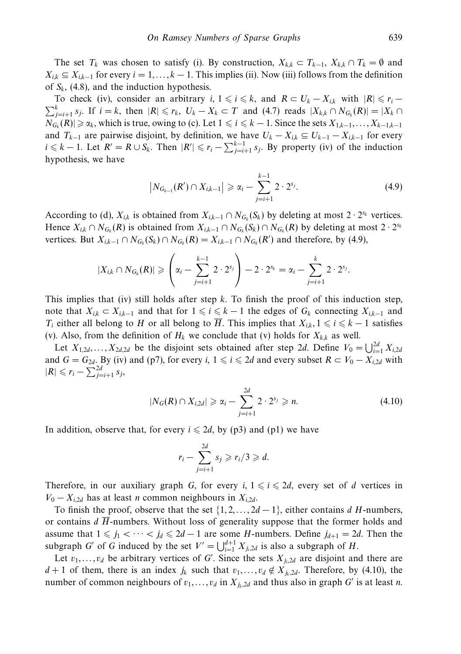The set  $T_k$  was chosen to satisfy (i). By construction,  $X_{k,k} \subset T_{k-1}$ ,  $X_{k,k} \cap T_k = \emptyset$  and  $X_{ik} \subseteq X_{ik-1}$  for every  $i = 1, \ldots, k-1$ . This implies (ii). Now (iii) follows from the definition of  $S_k$ , (4.8), and the induction hypothesis.

To check (iv), consider an arbitrary *i*,  $1 \le i \le k$ , and  $R \subset U_k - X_{i,k}$  with  $|R| \le r_i$  $\sum_{j=i+1}^{k} s_j$ . If *i* = *k*, then  $|R| \le r_k$ ,  $U_k - X_k$  ⊂ *T* and (4.7) reads  $|X_{k,k} \cap N_{G_k}(R)| = |X_k \cap N_{G_k}(R)|$  $N_{G_k}(R) \ge \alpha_k$ , which is true, owing to (c). Let  $1 \le i \le k-1$ . Since the sets  $X_{1,k-1},...,X_{k-1,k-1}$ and  $T_{k-1}$  are pairwise disjoint, by definition, we have  $U_k - X_{i,k} \subseteq U_{k-1} - X_{i,k-1}$  for every *i* ≤ *k* − 1. Let *R*' = *R* ∪ *S<sub>k</sub>*. Then  $|R'|$  ≤  $r_i - \sum_{j=i+1}^{k-1} s_j$ . By property (iv) of the induction hypothesis, we have

$$
\left|N_{G_{k-1}}(R')\cap X_{i,k-1}\right|\geqslant \alpha_i-\sum_{j=i+1}^{k-1}2\cdot 2^{s_j}.\tag{4.9}
$$

According to (d),  $X_{ik}$  is obtained from  $X_{ik-1} \cap N_{G_k}(S_k)$  by deleting at most 2 · 2<sup>*sk*</sup> vertices. Hence  $X_{ik} \cap N_{G_k}(R)$  is obtained from  $X_{ik-1} \cap N_{G_k}(S_k) \cap N_{G_k}(R)$  by deleting at most  $2 \cdot 2^{s_k}$ vertices. But  $X_{i,k-1} \cap N_{G_k}(S_k) \cap N_{G_k}(R) = X_{i,k-1} \cap N_{G_k}(R')$  and therefore, by (4.9),

$$
|X_{i,k} \cap N_{G_k}(R)| \geqslant \left(\alpha_i - \sum_{j=i+1}^{k-1} 2 \cdot 2^{s_j}\right) - 2 \cdot 2^{s_k} = \alpha_i - \sum_{j=i+1}^{k} 2 \cdot 2^{s_j}.
$$

This implies that (iv) still holds after step *k*. To finish the proof of this induction step, note that  $X_{i,k}$  ⊂  $X_{i,k-1}$  and that for  $1 \leq i \leq k-1$  the edges of  $G_k$  connecting  $X_{i,k-1}$  and *T<sub>i</sub>* either all belong to *H* or all belong to  $\overline{H}$ . This implies that  $X_{ik}$ ,  $1 \leq i \leq k-1$  satisfies (v). Also, from the definition of  $H_k$  we conclude that (v) holds for  $X_{kk}$  as well.

Let  $X_{1,2d},...,X_{2d,2d}$  be the disjoint sets obtained after step 2*d*. Define  $V_0 = \bigcup_{i=1}^{2d} X_{i,2d}$ and  $G = G_{2d}$ . By (iv) and (p7), for every *i*,  $1 \le i \le 2d$  and every subset  $R \subset V_0 - X_{i, 2d}$  with  $|R|$  ≤  $r_i - \sum_{j=i+1}^{2d} s_j$ ,

$$
|N_G(R) \cap X_{i,2d}| \geq \alpha_i - \sum_{j=i+1}^{2d} 2 \cdot 2^{s_j} \geq n. \tag{4.10}
$$

In addition, observe that, for every  $i \leq 2d$ , by (p3) and (p1) we have

$$
r_i - \sum_{j=i+1}^{2d} s_j \ge r_i/3 \ge d.
$$

Therefore, in our auxiliary graph *G*, for every *i*,  $1 \le i \le 2d$ , every set of *d* vertices in  $V_0 - X_{i,2d}$  has at least *n* common neighbours in  $X_{i,2d}$ .

To finish the proof, observe that the set  $\{1, 2, \ldots, 2d - 1\}$ , either contains *d H*-numbers, or contains  $d\overline{H}$ -numbers. Without loss of generality suppose that the former holds and assume that  $1 \leq j_1 < \cdots < j_d \leq 2d-1$  are some *H*-numbers. Define  $j_{d+1} = 2d$ . Then the subgraph *G'* of *G* induced by the set  $V' = \bigcup_{i=1}^{d+1} X_{j_i,2d}$  is also a subgraph of *H*.

Let  $v_1, \ldots, v_d$  be arbitrary vertices of *G*'. Since the sets  $X_{j_i, 2d}$  are disjoint and there are *d* + 1 of them, there is an index  $j_k$  such that  $v_1, \ldots, v_d \notin X_{j_k, 2d}$ . Therefore, by (4.10), the number of common neighbours of  $v_1, \ldots, v_d$  in  $X_{j_k, 2d}$  and thus also in graph *G'* is at least *n*.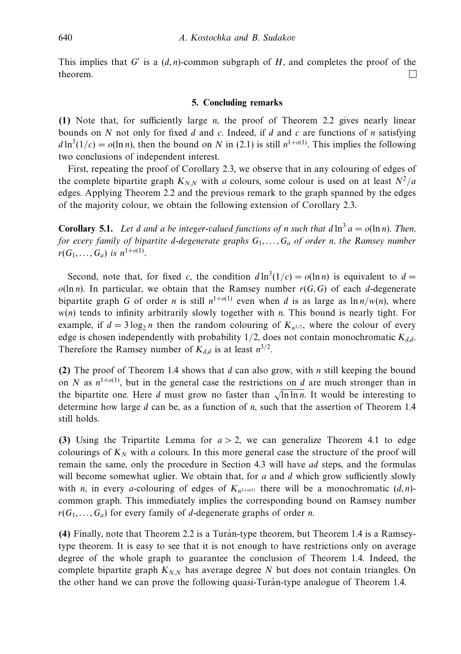This implies that *G* is a (*d, n*)-common subgraph of *H*, and completes the proof of the theorem. П

#### **5. Concluding remarks**

**(1)** Note that, for sufficiently large *n*, the proof of Theorem 2.2 gives nearly linear bounds on *N* not only for fixed *d* and *c*. Indeed, if *d* and *c* are functions of *n* satisfying  $d \ln^3(1/c) = o(\ln n)$ , then the bound on *N* in (2.1) is still  $n^{1+o(1)}$ . This implies the following two conclusions of independent interest.

First, repeating the proof of Corollary 2.3, we observe that in any colouring of edges of the complete bipartite graph  $K_{N,N}$  with *a* colours, some colour is used on at least  $N^2/a$ edges. Applying Theorem 2.2 and the previous remark to the graph spanned by the edges of the majority colour, we obtain the following extension of Corollary 2.3.

**Corollary 5.1.** Let *d* and *a* be integer-valued functions of *n* such that  $d \ln^3 a = o(\ln n)$ . Then, for every family of bipartite *d*-degenerate graphs  $G_1, \ldots, G_a$  of order *n*, the Ramsey number  $r(G_1, ..., G_a)$  is  $n^{1+o(1)}$ .

Second, note that, for fixed *c*, the condition  $d \ln^3(1/c) = o(\ln n)$  is equivalent to  $d =$  $o(\ln n)$ . In particular, we obtain that the Ramsey number  $r(G, G)$  of each *d*-degenerate bipartite graph *G* of order *n* is still  $n^{1+o(1)}$  even when *d* is as large as  $\ln n/w(n)$ , where *w*(*n*) tends to infinity arbitrarily slowly together with *n*. This bound is nearly tight. For example, if  $d = 3 \log_2 n$  then the random colouring of  $K_{n^{3/2}}$ , where the colour of every edge is chosen independently with probability  $1/2$ , does not contain monochromatic  $K_{dd}$ . Therefore the Ramsey number of  $K_{d,d}$  is at least  $n^{3/2}$ .

**(2)** The proof of Theorem 1.4 shows that *d* can also grow, with *n* still keeping the bound on *N* as  $n^{1+o(1)}$ , but in the general case the restrictions on *d* are much stronger than in the bipartite one. Here *d* must grow no faster than  $\sqrt{\ln \ln n}$ . It would be interesting to determine how large *d* can be, as a function of *n*, such that the assertion of Theorem 1.4 still holds.

**(3)** Using the Tripartite Lemma for *a >* 2, we can generalize Theorem 4.1 to edge colourings of  $K_N$  with *a* colours. In this more general case the structure of the proof will remain the same, only the procedure in Section 4.3 will have *ad* steps, and the formulas will become somewhat uglier. We obtain that, for *a* and *d* which grow sufficiently slowly with *n*, in every *a*-colouring of edges of  $K_{n^{1+o(1)}}$  there will be a monochromatic  $(d, n)$ common graph. This immediately implies the corresponding bound on Ramsey number  $r(G_1, \ldots, G_a)$  for every family of *d*-degenerate graphs of order *n*.

**(4)** Finally, note that Theorem 2.2 is a Turan-type theorem, but Theorem 1.4 is a Ramsey- ´ type theorem. It is easy to see that it is not enough to have restrictions only on average degree of the whole graph to guarantee the conclusion of Theorem 1.4. Indeed, the complete bipartite graph  $K_{N,N}$  has average degree N but does not contain triangles. On the other hand we can prove the following quasi-Turán-type analogue of Theorem 1.4.